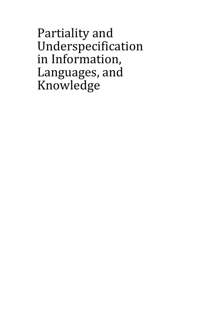Partiality and Underspecification in Information, Languages, and Knowledge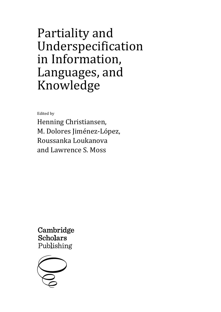# Partiality and Underspecification in Information, Languages, and Knowledge

**Edited** by

Henning Christiansen, M. Dolores Jiménez-López, Roussanka Loukanova and Lawrence S. Moss

Cambridge **Scholars** Publishing

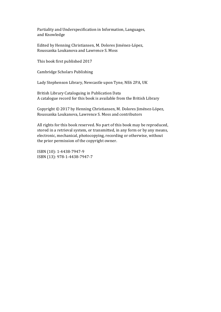Partiality and Underspecification in Information, Languages, and Knowledge

Edited by Henning Christiansen, M. Dolores Jiménez-López, Roussanka Loukanova and Lawrence S. Moss

This book first published 2017

Cambridge Scholars Publishing

Lady Stephenson Library, Newcastle upon Tyne, NE6 2PA, UK

British Library Cataloguing in Publication Data A catalogue record for this book is available from the British Library

Copyright  $©$  2017 by Henning Christiansen, M. Dolores Jiménez-López, Roussanka Loukanova, Lawrence S. Moss and contributors

All rights for this book reserved. No part of this book may be reproduced, stored in a retrieval system, or transmitted, in any form or by any means, electronic, mechanical, photocopying, recording or otherwise, without the prior permission of the copyright owner.

ISBN (10): 1-4438-7947-9 ISBN (13): 978-1-4438-7947-7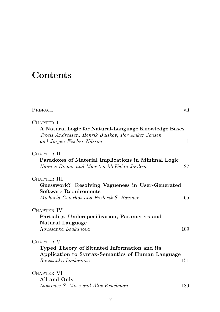## **Contents**

| PREFACE                                                                                                                                               | vii         |
|-------------------------------------------------------------------------------------------------------------------------------------------------------|-------------|
| CHAPTER I<br>A Natural Logic for Natural-Language Knowledge Bases<br>Troels Andreasen, Henrik Bulskov, Per Anker Jensen<br>and Jørgen Fischer Nilsson | $\mathbf 1$ |
| CHAPTER II<br>Paradoxes of Material Implications in Minimal Logic<br>Hannes Diener and Maarten McKubre-Jordens                                        | 27          |
| CHAPTER III<br>Guesswork? Resolving Vagueness in User-Generated<br><b>Software Requirements</b><br>Michaela Geierhos and Frederik S. Bäumer           | 65          |
| CHAPTER IV<br>Partiality, Underspecification, Parameters and<br>Natural Language<br>Roussanka Loukanova                                               | 109         |
| CHAPTER V<br>Typed Theory of Situated Information and its<br>Application to Syntax-Semantics of Human Language<br>Roussanka Loukanova                 | 151         |
| CHAPTER VI<br>All and Only<br>Lawrence S. Moss and Alex Kruckman                                                                                      | 189         |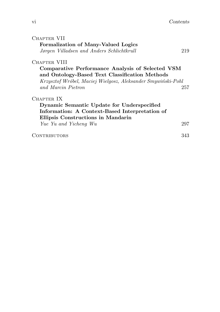| CHAPTER VII<br>Formalization of Many-Valued Logics<br>Jørgen Villadsen and Anders Schlichtkrull                                                                                          | 219 |
|------------------------------------------------------------------------------------------------------------------------------------------------------------------------------------------|-----|
| CHAPTER VIII                                                                                                                                                                             |     |
| Comparative Performance Analysis of Selected VSM<br>and Ontology-Based Text Classification Methods<br>Krzysztof Wróbel, Maciej Wielgosz, Aleksander Smywiński-Pohl<br>and Marcin Pietron | 257 |
| CHAPTER IX<br>Dynamic Semantic Update for Underspecified<br>Information: A Context-Based Interpretation of<br>Ellipsis Constructions in Mandarin                                         |     |
| Yue Yu and Yicheng Wu                                                                                                                                                                    | 297 |
| CONTRIBUTORS                                                                                                                                                                             | 343 |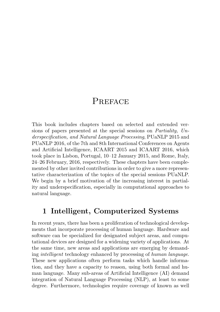## PREFACE

This book includes chapters based on selected and extended versions of papers presented at the special sessions on *Partiality, Underspecification, and Natural Language Processing*, PUaNLP 2015 and PUaNLP 2016, of the 7th and 8th International Conferences on Agents and Artificial Intelligence, ICAART 2015 and ICAART 2016, which took place in Lisbon, Portugal, 10–12 January 2015, and Rome, Italy, 24–26 February, 2016, respectively. These chapters have been complemented by other invited contributions in order to give a more representative characterization of the topics of the special sessions PUaNLP. We begin by a brief motivation of the increasing interest in partiality and underspecification, especially in computational approaches to natural language.

## **1 Intelligent, Computerized Systems**

In recent years, there has been a proliferation of technological developments that incorporate processing of human language. Hardware and software can be specialized for designated subject areas, and computational devices are designed for a widening variety of applications. At the same time, new areas and applications are emerging by demanding *intelligent* technology enhanced by processing of *human language*. These new applications often perform tasks which handle information, and they have a capacity to reason, using both formal and human language. Many sub-areas of Artificial Intelligence (AI) demand integration of Natural Language Processing (NLP), at least to some degree. Furthermore, technologies require coverage of known as well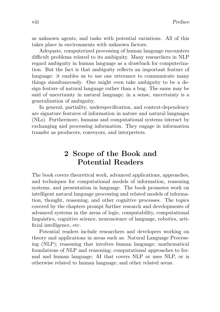as unknown agents, and tasks with potential variations. All of this takes place in environments with unknown factors.

Adequate, computerized processing of human language encounters difficult problems related to its ambiguity. Many researchers in NLP regard ambiguity in human language as a drawback for computerization. But the fact is that ambiguity reflects an important feature of language: it enables us to use one utterance to communicate many things simultaneously. One might even take ambiguity to be a design feature of natural language rather than a bug. The same may be said of uncertainty in natural language; in a sense, uncertainty is a generalization of ambiguity.

In general, partiality, underspecification, and context-dependency are signature features of information in nature and natural languages (NLs). Furthermore, humans and computational systems interact by exchanging and processing information. They engage in information transfer as producers, conveyors, and interpreters.

## **2 Scope of the Book and Potential Readers**

The book covers theoretical work, advanced applications, approaches, and techniques for computational models of information, reasoning systems, and presentation in language. The book promotes work on intelligent natural language processing and related models of information, thought, reasoning, and other cognitive processes. The topics covered by the chapters prompt further research and developments of advanced systems in the areas of logic, computability, computational linguistics, cognitive science, neuroscience of language, robotics, artificial intelligence, etc.

Potential readers include researchers and developers working on theory and applications in areas such as: Natural Language Processing (NLP); reasoning that involves human language; mathematical foundations of NLP and reasoning; computational approaches to formal and human language; AI that covers NLP or uses NLP, or is otherwise related to human language; and other related areas.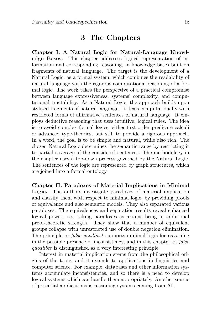### **3 The Chapters**

**Chapter I: A Natural Logic for Natural-Language Knowledge Bases.** This chapter addresses logical representation of information and corresponding reasoning, in knowledge bases built on fragments of natural language. The target is the development of a Natural Logic, as a formal system, which combines the readability of natural language with the rigorous computational reasoning of a formal logic. The work takes the perspective of a practical compromise between language expressiveness, systems' complexity, and computational tractability. As a Natural Logic, the approach builds upon stylized fragments of natural language. It deals computationally with restricted forms of affirmative sentences of natural language. It employs deductive reasoning that uses intuitive, logical rules. The idea is to avoid complex formal logics, either first-order predicate calculi or advanced type-theories, but still to provide a rigorous approach. In a word, the goal is to be simple and natural, while also rich. The chosen Natural Logic determines the semantic range by restricting it to partial coverage of the considered sentences. The methodology in the chapter uses a top-down process governed by the Natural Logic. The sentences of the logic are represented by graph structures, which are joined into a formal ontology.

**Chapter II: Paradoxes of Material Implications in Minimal Logic.** The authors investigate paradoxes of material implication and classify them with respect to minimal logic, by providing proofs of equivalence and also semantic models. They also separated various paradoxes. The equivalences and separation results reveal enhanced logical power, i.e., taking paradoxes as axioms bring in additional proof-theoretic strength. They show that a number of equivalent groups collapse with unrestricted use of double negation elimination. The principle *ex falso quodlibet* supports minimal logic for reasoning in the possible presence of inconsistency, and in this chapter *ex falso quodlibet* is distinguished as a very interesting principle.

Interest in material implication stems from the philosophical origins of the topic, and it extends to applications in linguistics and computer science. For example, databases and other information systems accumulate inconsistencies, and so there is a need to develop logical systems which can handle them appropriately. Another source of potential applications is reasoning systems coming from AI.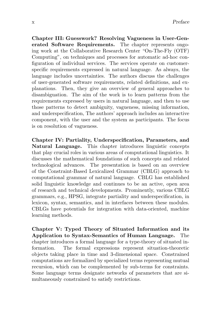**Chapter III: Guesswork? Resolving Vagueness in User-Generated Software Requirements.** The chapter represents ongoing work at the Collaborative Research Center "On-The-Fly (OTF) Computing", on techniques and processes for automatic ad-hoc configuration of individual services. The services operate on customerspecific requirements expressed in natural language. As always, the language includes uncertainties. The authors discuss the challenges of user-generated software requirements, related definitions, and explanations. Then, they give an overview of general approaches to disambiguation. The aim of the work is to learn patterns from the requirements expressed by users in natural language, and then to use those patterns to detect ambiguity, vagueness, missing information, and underspecification, The authors' approach includes an interactive component, with the user and the system as participants. The focus is on resolution of vagueness.

**Chapter IV: Partiality, Underspecification, Parameters, and Natural Language.** This chapter introduces linguistic concepts that play crucial roles in various areas of computational linguistics. It discusses the mathematical foundations of such concepts and related technological advances. The presentation is based on an overview of the Constraint-Based Lexicalized Grammar (CBLG) approach to computational grammar of natural language. CBLG has established solid linguistic knowledge and continues to be an active, open area of research and technical developments. Prominently, various CBLG grammars, e.g., HPSG, integrate partiality and underspecification, in lexicon, syntax, semantics, and in interfaces between these modules. CBLGs have potentials for integration with data-oriented, machine learning methods.

**Chapter V: Typed Theory of Situated Information and its Application to Syntax-Semantics of Human Language.** The chapter introduces a formal language for a type-theory of situated information. The formal expressions represent situation-theoretic objects taking place in time and 3-dimensional space. Constrained computations are formalized by specialized terms representing mutual recursion, which can be complemented by sub-terms for constraints. Some language terms designate networks of parameters that are simultaneously constrained to satisfy restrictions.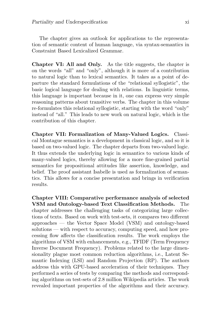The chapter gives an outlook for applications to the representation of semantic content of human language, via syntax-semantics in Constraint Based Lexicalized Grammar.

**Chapter VI: All and Only.** As the title suggests, the chapter is on the words "all" and "only", although it is more of a contribution to natural logic than to lexical semantics. It takes as a point of departure the standard formulations of the "relational syllogistic", the basic logical language for dealing with relations. In linguistic terms, this language is important because in it, one can express very simple reasoning patterns about transitive verbs. The chapter in this volume re-formulates this relational syllogistic, starting with the word "only" instead of "all." This leads to new work on natural logic, which is the contribution of this chapter.

**Chapter VII: Formalization of Many-Valued Logics.** Classical Montague semantics is a development in classical logic, and so it is based on two-valued logic. The chapter departs from two-valued logic. It thus extends the underlying logic in semantics to various kinds of many-valued logics, thereby allowing for a more fine-grained partial semantics for propositional attitudes like assertion, knowledge, and belief. The proof assistant Isabelle is used as formalization of semantics. This allows for a concise presentation and brings in verification results.

**Chapter VIII: Comparative performance analysis of selected VSM and Ontology-based Text Classification Methods.** The chapter addresses the challenging tasks of categorizing large collections of texts. Based on work with test-sets, it compares two different approaches — the Vector Space Model (VSM) and ontology-based solutions — with respect to accuracy, computing speed, and how processing flow affects the classification results. The work employs the algorithms of VSM with enhancements, e.g., TFIDF (Term Frequency Inverse Document Frequency). Problems related to the large dimensionality plague most common reduction algorithms, i.e., Latent Semantic Indexing (LSI) and Random Projection (RP). The authors address this with GPU-based acceleration of their techniques. They performed a series of tests by comparing the methods and corresponding algorithms on test-sets of 2.8 million Wikipedia articles. The work revealed important properties of the algorithms and their accuracy.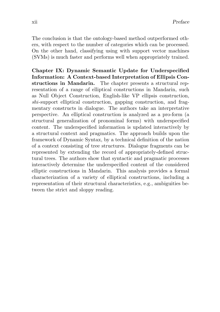The conclusion is that the ontology-based method outperformed others, with respect to the number of categories which can be processed. On the other hand, classifying using with support vector machines (SVMs) is much faster and performs well when appropriately trained.

**Chapter IX: Dynamic Semantic Update for Underspecified Information: A Context-based Interpretation of Ellipsis Constructions in Mandarin.** The chapter presents a structural representation of a range of elliptical constructions in Mandarin, such as Null Object Construction, English-like VP ellipsis construction, *shi*-support elliptical construction, gapping construction, and fragmentary constructs in dialogue. The authors take an interpretative perspective. An elliptical construction is analyzed as a pro-form (a structural generalization of pronominal forms) with underspecified content. The underspecified information is updated interactively by a structural context and pragmatics. The approach builds upon the framework of Dynamic Syntax, by a technical definition of the nation of a context consisting of tree structures. Dialogue fragments can be represented by extending the record of appropriately-defined structural trees. The authors show that syntactic and pragmatic processes interactively determine the underspecified content of the considered elliptic constructions in Mandarin. This analysis provides a formal characterization of a variety of elliptical constructions, including a representation of their structural characteristics, e.g., ambiguities between the strict and sloppy reading.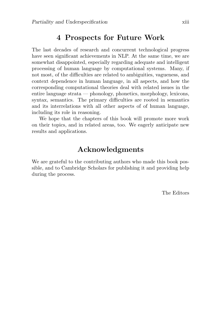### **4 Prospects for Future Work**

The last decades of research and concurrent technological progress have seen significant achievements in NLP. At the same time, we are somewhat disappointed, especially regarding adequate and intelligent processing of human language by computational systems. Many, if not most, of the difficulties are related to ambiguities, vagueness, and context dependence in human language, in all aspects, and how the corresponding computational theories deal with related issues in the entire language strata — phonology, phonetics, morphology, lexicons, syntax, semantics. The primary difficulties are rooted in semantics and its interrelations with all other aspects of of human language, including its role in reasoning.

We hope that the chapters of this book will promote more work on their topics, and in related areas, too. We eagerly anticipate new results and applications.

## **Acknowledgments**

We are grateful to the contributing authors who made this book possible, and to Cambridge Scholars for publishing it and providing help during the process.

The Editors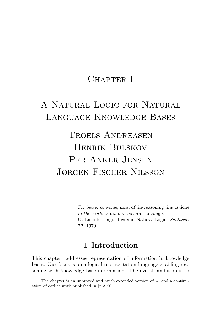## CHAPTER I

# A Natural Logic for Natural Language Knowledge Bases

# Troels Andreasen Henrik Bulskov Per Anker Jensen Jørgen Fischer Nilsson

For better or worse, most of the reasoning that is done in the world is done in natural language. G. Lakoff: Linguistics and Natural Logic, Synthese, 22, 1970.

## 1 Introduction

This chapter<sup>1</sup> addresses representation of information in knowledge bases. Our focus is on a logical representation language enabling reasoning with knowledge base information. The overall ambition is to

<sup>&</sup>lt;sup>1</sup>The chapter is an improved and much extended version of [4] and a continuation of earlier work published in [2, 3, 20].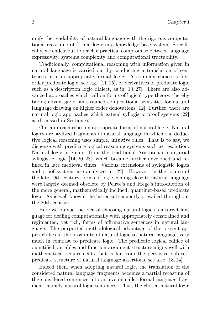unify the readability of natural language with the rigorous computational reasoning of formal logic in a knowledge base system. Specifically, we endeavour to reach a practical compromise between language expressivity, systems complexity and computational tractability.

Traditionally, computational reasoning with information given in natural language is carried out by conducting a translation of sentences into an appropriate formal logic. A common choice is first order predicate logic, see e.g., [11,15], or derivatives of predicate logic such as a description logic dialect, as in [10, 27]. There are also advanced approaches which call on forms of logical type theory, thereby taking advantage of an assumed compositional semantics for natural language drawing on higher order denotations [12]. Further, there are natural logic approaches which extend syllogistic proof systems [22] as discussed in Section 6.

Our approach relies on appropriate forms of natural logic. Natural logics are stylized fragments of natural language in which the deductive logical reasoning uses simple, intuitive rules. That is to say, we dispense with predicate-logical reasoning systems such as resolution. Natural logic originates from the traditional Aristotelian categorial syllogistic logic [14, 20, 28], which became further developed and refined in late medieval times. Various extensions of syllogistic logics and proof systems are analyzed in [22]. However, in the course of the late 19th century, forms of logic coming close to natural language were largely deemed obsolete by Peirce's and Frege's introduction of the more general, mathematically inclined, quantifier-based predicate logic. As is well-known, the latter subsequently prevailed throughout the 20th century.

Here we pursue the idea of choosing natural logic as a target language for dealing computationally with appropriately constrained and regimented, yet rich, forms of affirmative sentences in natural language. The purported methodological advantage of the present approach lies in the proximity of natural logic to natural language, very much in contrast to predicate logic. The predicate logical edifice of quantified variables and function-argument structure aligns well with mathematical requirements, but is far from the pervasive subjectpredicate structure of natural language assertions, see also [18, 24].

Indeed then, when adopting natural logic, the translation of the considered natural language fragments becomes a partial recasting of the considered sentences into an even smaller formal language fragment, namely natural logic sentences. Thus, the chosen natural logic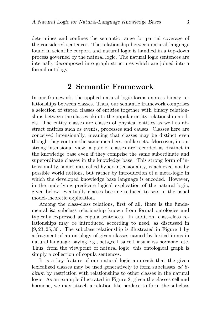determines and confines the semantic range for partial coverage of the considered sentences. The relationship between natural language found in scientific corpora and natural logic is handled in a top-down process governed by the natural logic. The natural logic sentences are internally decomposed into graph structures which are joined into a formal ontology.

## 2 Semantic Framework

In our framework, the applied natural logic forms express binary relationships between classes. Thus, our semantic framework comprises a selection of stated classes of entities together with binary relationships between the classes akin to the popular entity-relationship models. The entity classes are classes of physical entities as well as abstract entities such as events, processes and causes. Classes here are conceived intensionally, meaning that classes may be distinct even though they contain the same members, unlike sets. Moreover, in our strong intensional view, a pair of classes are recorded as distinct in the knowledge base even if they comprise the same subordinate and superordinate classes in the knowledge base. This strong form of intensionality, sometimes called hyper-intensionality, is achieved not by possible world notions, but rather by introduction of a meta-logic in which the developed knowledge base language is encoded. However, in the underlying predicate logical explication of the natural logic, given below, eventually classes become reduced to sets in the usual model-theoretic explication.

Among the class-class relations, first of all, there is the fundamental isa subclass relationship known from formal ontologies and typically expressed as copula sentences. In addition, class-class relationships may be introduced according to need, as discussed in [9, 23, 25, 30]. The subclass relationship is illustrated in Figure 1 by a fragment of an ontology of given classes named by lexical items in natural language, saying e.g., beta cell isa cell, insulin isa hormone, etc. Thus, from the viewpoint of natural logic, this ontological graph is simply a collection of copula sentences.

It is a key feature of our natural logic approach that the given lexicalized classes may be used generatively to form subclasses ad libitum by restriction with relationships to other classes in the natural logic. As an example illustrated in Figure 2, given the classes cell and hormone, we may attach a relation like produce to form the subclass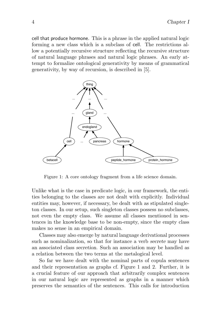cell that produce hormone. This is a phrase in the applied natural logic forming a new class which is a subclass of cell. The restrictions allow a potentially recursive structure reflecting the recursive structure of natural language phrases and natural logic phrases. An early attempt to formalize ontological generativity by means of grammatical generativity, by way of recursion, is described in [5].



Figure 1: A core ontology fragment from a life science domain.

Unlike what is the case in predicate logic, in our framework, the entities belonging to the classes are not dealt with explicitly. Individual entities may, however, if necessary, be dealt with as stipulated singleton classes. In our setup, such singleton classes possess no subclasses, not even the empty class. We assume all classes mentioned in sentences in the knowledge base to be non-empty, since the empty class makes no sense in an empirical domain.

Classes may also emerge by natural language derivational processes such as nominalization, so that for instance a verb secrete may have an associated class secretion. Such an association may be handled as a relation between the two terms at the metalogical level.

So far we have dealt with the nominal parts of copula sentences and their representation as graphs cf. Figure 1 and 2. Further, it is a crucial feature of our approach that arbitrarily complex sentences in our natural logic are represented as graphs in a manner which preserves the semantics of the sentences. This calls for introduction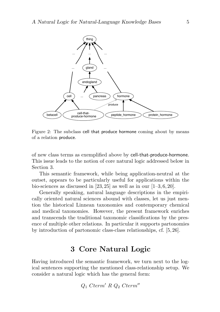

Figure 2: The subclass cell that produce hormone coming about by means of a relation produce.

of new class terms as exemplified above by cell-that-produce-hormone. This issue leads to the notion of core natural logic addressed below in Section 3.

This semantic framework, while being application-neutral at the outset, appears to be particularly useful for applications within the bio-sciences as discussed in [23, 25] as well as in our [1–3, 6, 20].

Generally speaking, natural language descriptions in the empirically oriented natural sciences abound with classes, let us just mention the historical Linnean taxonomies and contemporary chemical and medical taxonomies. However, the present framework enriches and transcends the traditional taxonomic classifications by the presence of multiple other relations. In particular it supports partonomies by introduction of partonomic class-class relationships, cf. [5, 26].

#### 3 Core Natural Logic

Having introduced the semantic framework, we turn next to the logical sentences supporting the mentioned class-relationship setup. We consider a natural logic which has the general form:

 $Q_1$  Cterm<sup>'</sup> R  $Q_2$  Cterm<sup>"</sup>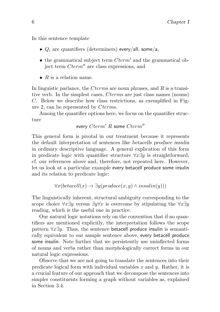In this sentence template

- $Q_i$  are quantifiers (determiners) every/all, some/a,
- the grammatical subject term  $Cterm'$  and the grammatical obiect term  $Cterm''$  are class expressions, and
- $R$  is a relation name.

In linguistic parlance, the Cterms are noun phrases, and  $R$  is a transitive verb. In the simplest cases, Cterms are just class names (nouns) C. Below we describe how class restrictions, as exemplified in Figure 2, can be represented by Cterms.

Among the quantifier options here, we focus on the quantifier structure

every  $Cterm'$  R some  $Cterm''$ 

This general form is pivotal in our treatment because it represents the default interpretation of sentences like betacells produce insulin in ordinary descriptive language. A general explication of this form in predicate logic with quantifier structure  $\forall x \exists y$  is straightforward, cf. our references above and, therefore, not repeated here. However, let us look at a particular example every betacell produce some insulin and its relation to predicate logic:

 $\forall x (betacell(x) \rightarrow \exists y (produce(x, y) \land insulin(y)))$ 

The linguistically inherent, structural ambiguity corresponding to the scope choice  $\forall x \exists y$  versus  $\exists y \forall x$  is overcome by stipulating the  $\forall x \exists y$ reading, which is the useful one in practice.

Our natural logic notations rely on the convention that if no quantifiers are mentioned explicitly, the interpretation follows the scope pattern  $\forall x \exists y$ . Thus, the sentence betacell produce insulin is semantically equivalent to our sample sentence above, every betacell produce some insulin. Note further that we persistently use uninflected forms of nouns and verbs rather than morphologically correct forms in our natural logic expressions.

Observe that we are not going to translate the sentences into their predicate logical form with individual variables  $x$  and  $y$ . Rather, it is a crucial feature of our approach that we decompose the sentences into simpler constituents forming a graph without variables as, explained in Section 3.4.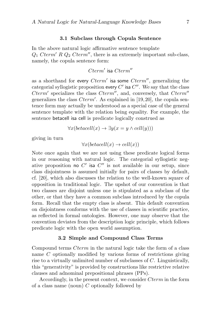#### 3.1 Subclass through Copula Sentence

In the above natural logic affirmative sentence template  $Q_1$  Cterm' R  $Q_2$  Cterm'', there is an extremely important sub-class, namely, the copula sentence form:

#### $Cterm'$  isa  $Cterm''$

as a shorthand for every  $Cterm'$  isa some  $Cterm''$ , generalizing the categorial syllogistic proposition every  $C'$  is  $C''$ . We say that the class  $Cterm'$  specializes the class  $Cterm''$ , and, conversely, that  $Cterm''$ generalizes the class  $Cterm'$ . As explained in [19, 20], the copula sentence form may actually be understood as a special case of the general sentence template with the relation being equality. For example, the sentence betacell isa cell is predicate logically construed as

$$
\forall x (betacell(x) \rightarrow \exists y (x = y \land cell(y)))
$$

giving in turn

 $\forall x (beta x) \rightarrow cell(x)$ 

Note once again that we are not using these predicate logical forms in our reasoning with natural logic. The categorial syllogistic negative proposition no  $C'$  is a  $C''$  is not available in our setup, since class disjointness is assumed initially for pairs of classes by default, cf. [20], which also discusses the relation to the well-known square of opposition in traditional logic. The upshot of our convention is that two classes are disjoint unless one is stipulated as a subclass of the other, or that they have a common subclass introduced by the copula form. Recall that the empty class is absent. This default convention on disjointness conforms with the use of classes in scientific practice, as reflected in formal ontologies. However, one may observe that the convention deviates from the description logic principle, which follows predicate logic with the open world assumption.

#### 3.2 Simple and Compound Class Terms

Compound terms Cterm in the natural logic take the form of a class name C optionally modified by various forms of restrictions giving rise to a virtually unlimited number of subclasses of C. Linguistically, this "generativity" is provided by constructions like restrictive relative clauses and adnominal prepositional phrases (PPs).

Accordingly, in the present context, we consider  $Cterm$  in the form of a class name (noun) C optionally followed by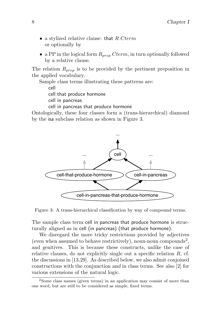- a stylized relative clause: that  $R$  Cterm or optionally by
- a PP in the logical form  $R_{nren}$  Cterm, in turn optionally followed by a relative clause.

The relation  $R_{prep}$  is to be provided by the pertinent preposition in the applied vocabulary.

Sample class terms illustrating these patterns are:

cell

cell that produce hormone

cell in pancreas

cell in pancreas that produce hormone

Ontologically, these four classes form a (trans-hierarchical) diamond by the isa subclass relation as shown in Figure 3.



Figure 3: A trans-hierarchical classification by way of compound terms.

The sample class term cell in pancreas that produce hormone is structurally aligned as in cell (in pancreas) (that produce hormone).

We disregard the more tricky restrictions provided by adjectives (even when assumed to behave restrictively), noun-noun compounds<sup>2</sup>, and genitives. This is because these constructs, unlike the case of relative clauses, do not explicitly single out a specific relation  $R$ , cf. the discussions in [13,29]. As described below, we also admit conjoined constructions with the conjunction and in class terms. See also [2] for various extensions of the natural logic.

<sup>2</sup>Some class names (given terms) in an application may consist of more than one word, but are still to be considered as simple, fixed terms.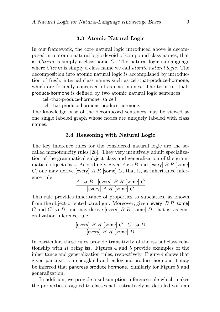#### 3.3 Atomic Natural Logic

In our framework, the core natural logic introduced above is decomposed into atomic natural logic devoid of compound class names, that is,  $Cterm$  is simply a class name C. The natural logic sublanguage where *Cterm* is simply a class name we call *atomic natural logic*. The decomposition into atomic natural logic is accomplished by introduction of fresh, internal class names such as cell-that-produce-hormone, which are formally conceived of as class names. The term cell-thatproduce-hormone is defined by two atomic natural logic sentences

cell-that-produce-hormone isa cell

cell-that-produce-hormone produce hormone.

The knowledge base of the decomposed sentences may be viewed as one single labeled graph whose nodes are uniquely labeled with class names.

#### 3.4 Reasoning with Natural Logic

The key inference rules for the considered natural logic are the socalled monotonicity rules [28]. They very intuitively admit specialization of the grammatical subject class and generalization of the grammatical object class. Accordingly, given A is a B and [every]  $B R$  [some] C, one may derive [every] A R [some] C, that is, as inheritance inference rule

$$
\frac{A \text{ isa } B \quad \text{[every]} \ B \ R \text{ [some]} \ C}{\text{[every]} \ A \ R \text{ [some]} \ C}
$$

This rule provides inheritance of properties to subclasses, as known from the object-oriented paradigm. Moreover, given  $[every]$  B R  $[some]$ C and C is a D, one may derive [every] B R [some] D, that is, as generalization inference rule

$$
\frac{[\text{every}] \ B \ R \ [\text{some}] \ C \ C \ \text{isa} \ D}{[\text{every}] \ B \ R \ [\text{some}] \ D}
$$

In particular, these rules provide transitivity of the isa subclass relationship with  $R$  being isa. Figures 4 and 5 provide examples of the inheritance and generalization rules, respectively. Figure 4 shows that given pancreas is a endogland and endogland produce hormone it may be inferred that pancreas produce hormone. Similarly for Figure 5 and generalization.

In addition, we provide a subsumption inference rule which makes the properties assigned to classes act restrictively as detailed with an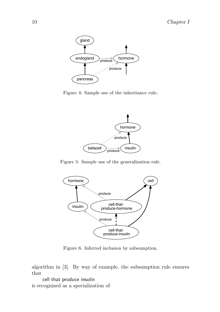

Figure 4: Sample use of the inheritance rule.



Figure 5: Sample use of the generalization rule.



Figure 6: Inferred inclusion by subsumption.

algorithm in [3]. By way of example, the subsumption rule ensures that

cell that produce insulin is recognized as a specialization of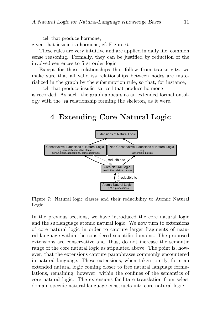cell that produce hormone,

given that insulin isa hormone, cf. Figure 6.

These rules are very intuitive and are applied in daily life, common sense reasoning. Formally, they can be justified by reduction of the involved sentences to first order logic.

Except for those relationships that follow from transitivity, we make sure that all valid isa relationships between nodes are materialized in the graph by the subsumption rule, so that, for instance,

cell-that-produce-insulin isa cell-that-produce-hormone is recorded. As such, the graph appears as an extended formal ontology with the isa relationship forming the skeleton, as it were.

## 4 Extending Core Natural Logic



Figure 7: Natural logic classes and their reducibility to Atomic Natural Logic.

In the previous sections, we have introduced the core natural logic and the sublanguage atomic natural logic. We now turn to extensions of core natural logic in order to capture larger fragments of natural language within the considered scientific domains. The proposed extensions are conservative and, thus, do not increase the semantic range of the core natural logic as stipulated above. The point is, however, that the extensions capture paraphrases commonly encountered in natural language. These extensions, when taken jointly, form an extended natural logic coming closer to free natural language formulations, remaining, however, within the confines of the semantics of core natural logic. The extensions facilitate translation from select domain specific natural language constructs into core natural logic.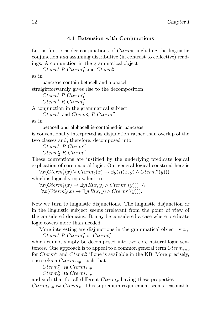#### 4.1 Extension with Conjunctions

Let us first consider conjunctions of *Cterms* including the linguistic conjunction and assuming distributive (in contrast to collective) readings. A conjunction in the grammatical object

 $Cterm'$  R  $Cterm''_1$  and  $Cterm''_2$ 

as in

pancreas contain betacell and alphacell

straightforwardly gives rise to the decomposition:

 $Cterm'$  R  $Cterm''_1$ 

 $Cterm'$  R  $Cterm''_2$ 

A conjunction in the grammatical subject

 $Cterm'_1$  and  $Cterm'_2$  R  $Cterm''$ 

as in

betacell and alphacell is-contained-in pancreas is conventionally interpreted as disjunction rather than overlap of the two classes and, therefore, decomposed into

 $Cterm'_1$  R  $Cterm''$ 

 $Cterm'_2$  R  $Cterm''$ 

These conventions are justified by the underlying predicate logical explication of core natural logic. Our general logical construal here is

 $\forall x (Cterm'_1(x) \lor Cterm'_2(x) \rightarrow \exists y (R(x,y) \land Cterm''(y)))$ which is logically equivalent to

 $\forall x (Cterm'_1(x) \rightarrow \exists y (R(x, y) \land Cterm''(y))) \ \land$  $\forall x (Cterm'_2(x) \rightarrow \exists y (R(x, y) \land Cterm''(y))).$ 

Now we turn to linguistic disjunctions. The linguistic disjunction or in the linguistic subject seems irrelevant from the point of view of the considered domains. It may be considered a case where predicate logic covers more than needed.

More interesting are disjunctions in the grammatical object, viz.,

 $Cterm'$  R  $Cterm''_1$  or  $Cterm''_2$ which cannot simply be decomposed into two core natural logic sentences. One approach is to appeal to a common general term  $Cterm_{sup}$ for  $Cterm''_1$  and  $Cterm''_2$  if one is available in the KB. More precisely, one seeks a  $Cterm_{sun}$ , such that

 $Cterm''_1$  isa  $Cterm_{sup}$ 

 $Cterm''_2$  isa  $Cterm_{sup}$ 

and such that for all different  $Cterm<sub>x</sub>$  having these properties  $Cterm_{sun}$  is  $Cterm_{xx}$ . This supremum requirement seems reasonable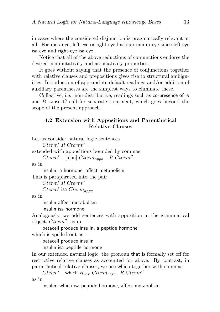in cases where the considered disjunction is pragmatically relevant at all. For instance, left-eye or right-eye has supremum eye since left-eye isa eye and right-eye isa eye.

Notice that all of the above reductions of conjunctions endorse the desired commutativity and associativity properties.

It goes without saying that the presence of conjunctions together with relative clauses and prepositions gives rise to structural ambiguities. Introduction of appropriate default readings and/or addition of auxiliary parentheses are the simplest ways to eliminate these.

Collective, i.e., non-distributive, readings such as co-presence of A and  $B$  cause  $C$  call for separate treatment, which goes beyond the scope of the present approach.

#### 4.2 Extension with Appositions and Parenthetical Relative Clauses

Let us consider natural logic sentences

 $Cterm'$  R  $Cterm''$ 

extended with appositions bounded by commas

 $Cterm'$ , [a|an]  $Cterm_{appo}$ , R  $Cterm''$ 

as in

insulin, a hormone, affect metabolism

This is paraphrased into the pair

 $Cterm'$  R  $Cterm''$  $Cterm'$  isa  $Cterm_{appo}$ 

as in

insulin affect metabolism insulin isa hormone

Analogously, we add sentences with apposition in the grammatical object,  $Cterm''$ , as in

betacell produce insulin, a peptide hormone

which is spelled out as

betacell produce insulin

insulin isa peptide hormone

In our extended natural logic, the pronoun that is formally set off for restrictive relative clauses as accounted for above. By contrast, in parenthetical relative clauses, we use which together with commas

 $Cterm'$ , which  $R_{par}$   $Cterm_{par}$ , R  $Cterm''$ 

as in

insulin, which isa peptide hormone, affect metabolism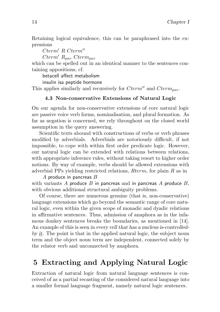Retaining logical equivalence, this can be paraphrased into the expressions

 $Cterm'$  R  $Cterm''$ 

 $Cterm'$   $R_{par}$   $Cterm_{par}$ 

which can be spelled out in an identical manner to the sentences containing appositions, cf.

betacell affect metabolism

insulin isa peptide hormone

This applies similarly and recursively for  $Cterm''$  and  $Cterm_{par}$ .

#### 4.3 Non-conservative Extensions of Natural Logic

On our agenda for non-conservative extensions of core natural logic are passive voice verb forms, nominalisation, and plural formation. As far as negation is concerned, we rely throughout on the closed world assumption in the query answering.

Scientific texts abound with constructions of verbs or verb phrases modified by adverbials. Adverbials are notoriously difficult, if not impossible, to cope with within first order predicate logic. However, our natural logic can be extended with relations between relations, with appropriate inference rules, without taking resort to higher order notions. By way of example, verbs should be allowed extensions with adverbial PPs yielding restricted relations, Rterm, for plain R as in

 $A$  produce in pancreas  $B$ with variants A produce  $B$  in pancreas and in pancreas  $A$  produce  $B$ , with obvious additional structural ambiguity problems.

Of course, there are numerous genuine (that is, non-conservative) language extensions which go beyond the semantic range of core natural logic, even within the given scope of monadic and dyadic relations in affirmative sentences. Thus, admission of anaphora as in the infamous donkey sentences breaks the boundaries, as mentioned in [14]. An example of this is seen in every cell that has a nucleus is-controlledby it. The point is that in the applied natural logic, the subject noun term and the object noun term are independent, connected solely by the relator verb and unconnected by anaphora.

## 5 Extracting and Applying Natural Logic

Extraction of natural logic from natural language sentences is conceived of as a partial recasting of the considered natural language into a smaller formal language fragment, namely natural logic sentences.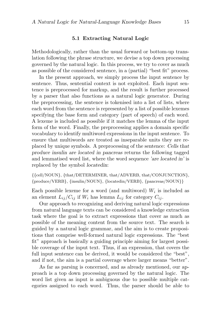#### 5.1 Extracting Natural Logic

Methodologically, rather than the usual forward or bottom-up translation following the phrase structure, we devise a top down processing governed by the natural logic. In this process, we try to cover as much as possible of the considered sentence, in a (partial) "best fit" process.

In the present approach, we simply process the input sentence by sentence. Thus, sentential context is not exploited. Each input sentence is preprocessed for markup, and the result is further processed by a parser that also functions as a natural logic generator. During the preprocessing, the sentence is tokenised into a list of lists, where each word from the sentence is represented by a list of possible lexemes specifying the base form and category (part of speech) of each word. A lexeme is included as possible if it matches the lemma of the input form of the word. Finally, the preprocessing applies a domain specific vocabulary to identify multiword expressions in the input sentence. To ensure that multiwords are treated as inseparable units they are replaced by unique symbols. A preprocessing of the sentence: Cells that produce insulin are located in pancreas returns the following tagged and lemmatised word list, where the word sequence 'are located in' is replaced by the symbol locatedin:

{{cell/NOUN}, {that/DETERMINER, that/ADVERB, that/CONJUNCTION}, {produce/VERB}, {insulin/NOUN}, {locatedin/VERB}, {pancreas/NOUN}}

Each possible lexeme for a word (and multiword)  $W_i$  is included as an element  $L_{ij}/C_{ij}$  if  $W_i$  has lemma  $L_{ij}$  for category  $C_{ij}$ .

Our approach to recognizing and deriving natural logic expressions from natural language texts can be considered a knowledge extraction task where the goal is to extract expressions that cover as much as possible of the meaning content from the source text. The search is guided by a natural logic grammar, and the aim is to create propositions that comprise well-formed natural logic expressions. The "best fit" approach is basically a guiding principle aiming for largest possible coverage of the input text. Thus, if an expression, that covers the full input sentence can be derived, it would be considered the "best", and if not, the aim is a partial coverage where larger means "better".

As far as parsing is concerned, and as already mentioned, our approach is a top down processing governed by the natural logic. The word list given as input is ambiguous due to possible multiple categories assigned to each word. Thus, the parser should be able to